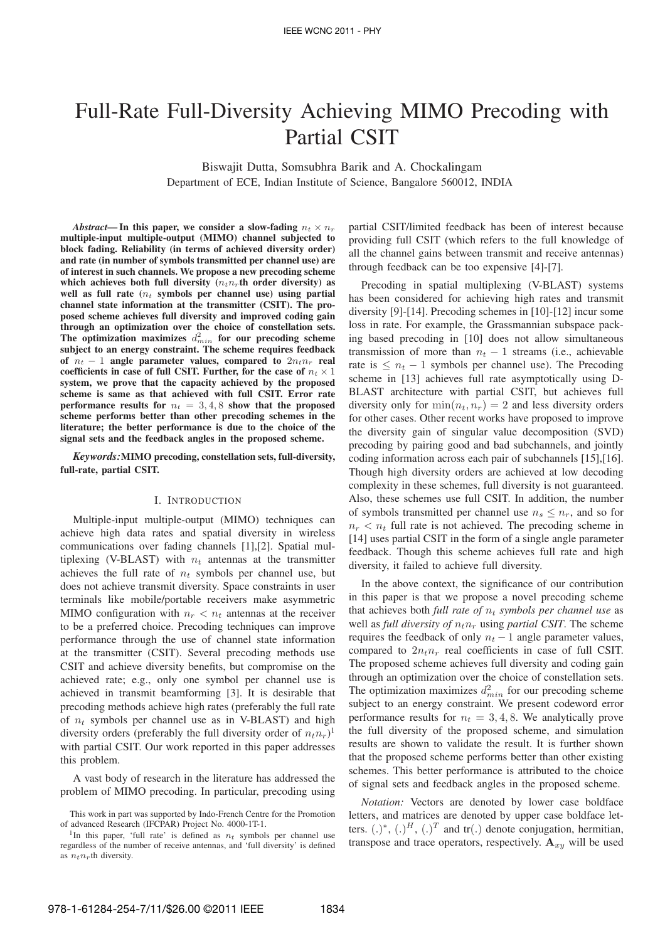# Full-Rate Full-Diversity Achieving MIMO Precoding with Partial CSIT

Biswajit Dutta, Somsubhra Barik and A. Chockalingam Department of ECE, Indian Institute of Science, Bangalore 560012, INDIA

*Abstract*—In this paper, we consider a slow-fading  $n_t \times n_r$ **multiple-input multiple-output (MIMO) channel subjected to block fading. Reliability (in terms of achieved diversity order) and rate (in number of symbols transmitted per channel use) are of interest in such channels. We propose a new precoding scheme** which achieves both full diversity  $(n_t n_t)$  th order diversity) as well as full rate  $(n_t$  symbols per channel use) using partial **channel state information at the transmitter (CSIT). The proposed scheme achieves full diversity and improved coding gain through an optimization over the choice of constellation sets.** The optimization maximizes  $d_{min}^2$  for our precoding scheme **subject to an energy constraint. The scheme requires feedback** of  $n_t - 1$  angle parameter values, compared to  $2n_t n_r$  real coefficients in case of full CSIT. Further, for the case of  $n_t \times 1$ **system, we prove that the capacity achieved by the proposed scheme is same as that achieved with full CSIT. Error rate performance results for**  $n_t = 3, 4, 8$  **show that the proposed scheme performs better than other precoding schemes in the literature; the better performance is due to the choice of the signal sets and the feedback angles in the proposed scheme.**

*Keywords:***MIMO precoding, constellation sets, full-diversity, full-rate, partial CSIT.**

#### I. INTRODUCTION

Multiple-input multiple-output (MIMO) techniques can achieve high data rates and spatial diversity in wireless communications over fading channels [1],[2]. Spatial multiplexing (V-BLAST) with  $n_t$  antennas at the transmitter achieves the full rate of  $n_t$  symbols per channel use, but does not achieve transmit diversity. Space constraints in user terminals like mobile/portable receivers make asymmetric MIMO configuration with  $n_r < n_t$  antennas at the receiver to be a preferred choice. Precoding techniques can improve performance through the use of channel state information at the transmitter (CSIT). Several precoding methods use CSIT and achieve diversity benefits, but compromise on the achieved rate; e.g., only one symbol per channel use is achieved in transmit beamforming [3]. It is desirable that precoding methods achieve high rates (preferably the full rate of  $n_t$  symbols per channel use as in V-BLAST) and high diversity orders (preferably the full diversity order of  $n_t n_r$ )<sup>1</sup> with partial CSIT. Our work reported in this paper addresses this problem.

A vast body of research in the literature has addressed the problem of MIMO precoding. In particular, precoding using partial CSIT/limited feedback has been of interest because providing full CSIT (which refers to the full knowledge of all the channel gains between transmit and receive antennas) through feedback can be too expensive [4]-[7].

Precoding in spatial multiplexing (V-BLAST) systems has been considered for achieving high rates and transmit diversity [9]-[14]. Precoding schemes in [10]-[12] incur some loss in rate. For example, the Grassmannian subspace packing based precoding in [10] does not allow simultaneous transmission of more than  $n_t - 1$  streams (i.e., achievable rate is  $\leq n_t - 1$  symbols per channel use). The Precoding scheme in [13] achieves full rate asymptotically using D-BLAST architecture with partial CSIT, but achieves full diversity only for  $\min(n_t, n_r) = 2$  and less diversity orders for other cases. Other recent works have proposed to improve the diversity gain of singular value decomposition (SVD) precoding by pairing good and bad subchannels, and jointly coding information across each pair of subchannels [15],[16]. Though high diversity orders are achieved at low decoding complexity in these schemes, full diversity is not guaranteed. Also, these schemes use full CSIT. In addition, the number of symbols transmitted per channel use  $n_s \leq n_r$ , and so for  $n_r < n_t$  full rate is not achieved. The precoding scheme in [14] uses partial CSIT in the form of a single angle parameter feedback. Though this scheme achieves full rate and high diversity, it failed to achieve full diversity.

In the above context, the significance of our contribution in this paper is that we propose a novel precoding scheme that achieves both *full rate of*  $n_t$  *symbols per channel use* as well as *full diversity of*  $n_t n_r$  using *partial CSIT*. The scheme requires the feedback of only  $n_t - 1$  angle parameter values, compared to  $2n_t n_r$  real coefficients in case of full CSIT. The proposed scheme achieves full diversity and coding gain through an optimization over the choice of constellation sets. The optimization maximizes  $d_{min}^2$  for our precoding scheme subject to an energy constraint. We present codeword error performance results for  $n_t = 3, 4, 8$ . We analytically prove the full diversity of the proposed scheme, and simulation results are shown to validate the result. It is further shown that the proposed scheme performs better than other existing schemes. This better performance is attributed to the choice of signal sets and feedback angles in the proposed scheme.

*Notation:* Vectors are denoted by lower case boldface letters, and matrices are denoted by upper case boldface letters.  $(.)^*, (.)^H, (.)^T$  and tr(.) denote conjugation, hermitian, transpose and trace operators, respectively.  $A_{x,y}$  will be used

This work in part was supported by Indo-French Centre for the Promotion of advanced Research (IFCPAR) Project No. 4000-1T-1.

<sup>&</sup>lt;sup>1</sup>In this paper, 'full rate' is defined as  $n_t$  symbols per channel use regardless of the number of receive antennas, and 'full diversity' is defined as  $n_t n_r$ th diversity.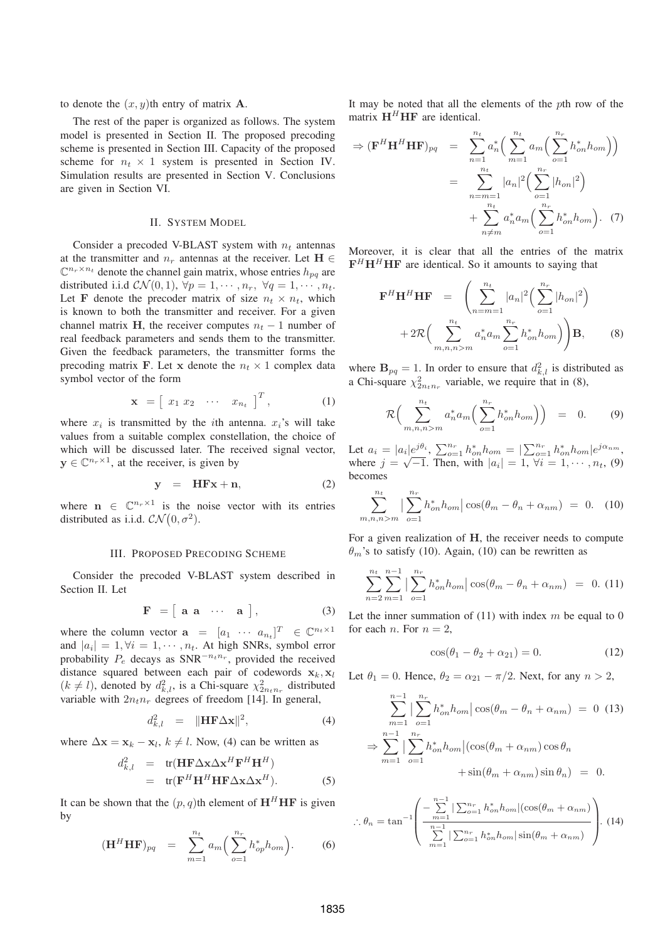to denote the  $(x, y)$ th entry of matrix **A**.

The rest of the paper is organized as follows. The system model is presented in Section II. The proposed precoding scheme is presented in Section III. Capacity of the proposed scheme for  $n_t \times 1$  system is presented in Section IV. Simulation results are presented in Section V. Conclusions are given in Section VI.

## II. SYSTEM MODEL

Consider a precoded V-BLAST system with  $n_t$  antennas at the transmitter and  $n_r$  antennas at the receiver. Let **H** ∈  $\mathbb{C}^{n_r \times n_t}$  denote the channel gain matrix, whose entries  $h_{pq}$  are distributed i.i.d  $\mathcal{CN}(0, 1), \forall p = 1, \cdots, n_r, \forall q = 1, \cdots, n_t.$ Let **F** denote the precoder matrix of size  $n_t \times n_t$ , which is known to both the transmitter and receiver. For a given channel matrix **H**, the receiver computes  $n_t - 1$  number of real feedback parameters and sends them to the transmitter. Given the feedback parameters, the transmitter forms the precoding matrix **F**. Let **x** denote the  $n_t \times 1$  complex data symbol vector of the form

$$
\mathbf{x} = \begin{bmatrix} x_1 & x_2 & \cdots & x_{n_t} \end{bmatrix}^T, \tag{1}
$$

where  $x_i$  is transmitted by the *i*th antenna.  $x_i$ 's will take values from a suitable complex constellation, the choice of which will be discussed later. The received signal vector,  $y \in \mathbb{C}^{n_r \times 1}$ , at the receiver, is given by

$$
y = HFx + n,
$$
 (2)

where  $\mathbf{n} \in \mathbb{C}^{n_r \times 1}$  is the noise vector with its entries distributed as i.i.d.  $\mathcal{CN}(0, \sigma^2)$ .

#### III. PROPOSED PRECODING SCHEME

Consider the precoded V-BLAST system described in Section II. Let

$$
\mathbf{F} = [\mathbf{a} \ \mathbf{a} \ \cdots \ \mathbf{a}], \tag{3}
$$

where the column vector  $\mathbf{a} = [a_1 \cdots a_{n_t}]^T \in \mathbb{C}^{n_t \times 1}$ and  $|a_i| = 1, \forall i = 1, \cdots, n_t$ . At high SNRs, symbol error probability  $P_e$  decays as SNR<sup> $-n_t n_r$ </sup>, provided the received distance squared between each pair of codewords  $\mathbf{x}_k, \mathbf{x}_l$  $(k \neq l)$ , denoted by  $d_{k,l}^2$ , is a Chi-square  $\chi^2_{2n_t n_r}$  distributed variable with  $2n_t n_r$  degrees of freedom [14]. In general,

$$
d_{k,l}^2 = \|\mathbf{H} \mathbf{F} \Delta \mathbf{x}\|^2, \tag{4}
$$

where  $\Delta x = x_k - x_l$ ,  $k \neq l$ . Now, (4) can be written as

$$
d_{k,l}^2 = tr(\mathbf{H} \mathbf{F} \Delta \mathbf{x} \Delta \mathbf{x}^H \mathbf{F}^H \mathbf{H}^H)
$$
  
= tr( $\mathbf{F}^H \mathbf{H}^H \mathbf{H} \mathbf{F} \Delta \mathbf{x} \Delta \mathbf{x}^H$ ). (5)

It can be shown that the  $(p, q)$ th element of  $H^H H F$  is given by

$$
(\mathbf{H}^H \mathbf{H} \mathbf{F})_{pq} = \sum_{m=1}^{n_t} a_m \Big( \sum_{o=1}^{n_r} h_{op}^* h_{om} \Big). \tag{6}
$$

It may be noted that all the elements of the *th row of the* matrix  $H^H H$ **F** are identical.

$$
\Rightarrow (\mathbf{F}^{H} \mathbf{H}^{H} \mathbf{H} \mathbf{F})_{pq} = \sum_{n=1}^{n_t} a_n^* \Big( \sum_{m=1}^{n_t} a_m \Big( \sum_{o=1}^{n_r} h_{on}^* h_{om} \Big) \Big) \n= \sum_{n=m=1}^{n_t} |a_n|^2 \Big( \sum_{o=1}^{n_r} |h_{on}|^2 \Big) \n+ \sum_{n \neq m}^{n_t} a_n^* a_m \Big( \sum_{o=1}^{n_r} h_{on}^* h_{om} \Big). (7)
$$

Moreover, it is clear that all the entries of the matrix  $F<sup>H</sup>H<sup>H</sup>$  **HF** are identical. So it amounts to saying that

$$
\mathbf{F}^{H} \mathbf{H}^{H} \mathbf{H} \mathbf{F} = \left( \sum_{n=m=1}^{n_t} |a_n|^2 \left( \sum_{o=1}^{n_r} |h_{on}|^2 \right) + 2 \mathcal{R} \left( \sum_{m,n,n>m}^{n_t} a_n^* a_m \sum_{o=1}^{n_r} h_{on}^* h_{om} \right) \right) \mathbf{B},
$$
(8)

where  $\mathbf{B}_{pq} = 1$ . In order to ensure that  $d_{k,l}^2$  is distributed as a Chi-square  $\chi^2_{2n_t n_r}$  variable, we require that in (8),

$$
\mathcal{R}\Big(\sum_{m,n,n>m}^{n_t} a_n^* a_m \Big(\sum_{o=1}^{n_r} h_{on}^* h_{om}\Big)\Big) = 0. \qquad (9)
$$

Let  $a_i = |a_i|e^{j\theta_i}$ ,  $\sum_{o=1}^{n_r} h_{on}^* h_{om} = |\sum_{o=1}^{n_r} h_{on}^* h_{om}|e^{j\alpha_n m}$ ,<br>where  $j = \sqrt{-1}$ . Then, with  $|a_i| = 1$ ,  $\forall i = 1, \cdots, n_t$ , (9) becomes

$$
\sum_{m,n,n>m}^{n_t} \left| \sum_{o=1}^{n_r} h_{on}^* h_{om} \right| \cos(\theta_m - \theta_n + \alpha_{nm}) = 0. \quad (10)
$$

For a given realization of **H**, the receiver needs to compute  $\theta_m$ 's to satisfy (10). Again, (10) can be rewritten as

$$
\sum_{n=2}^{n_t} \sum_{m=1}^{n-1} \left| \sum_{o=1}^{n_r} h_{on}^* h_{om} \right| \cos(\theta_m - \theta_n + \alpha_{nm}) = 0. \tag{11}
$$

Let the inner summation of  $(11)$  with index m be equal to 0 for each *n*. For  $n = 2$ ,

$$
\cos(\theta_1 - \theta_2 + \alpha_{21}) = 0. \tag{12}
$$

Let  $\theta_1 = 0$ . Hence,  $\theta_2 = \alpha_{21} - \pi/2$ . Next, for any  $n > 2$ ,

$$
\sum_{m=1}^{n-1} \left| \sum_{o=1}^{n_r} h_{on}^* h_{om} \right| \cos(\theta_m - \theta_n + \alpha_{nm}) = 0 \quad (13)
$$

$$
\Rightarrow \sum_{m=1}^{n-1} \left| \sum_{o=1}^{n_r} h_{on}^* h_{om} \right| (\cos(\theta_m + \alpha_{nm}) \cos \theta_n + \sin(\theta_m + \alpha_{nm}) \sin \theta_n) = 0.
$$

$$
\therefore \theta_n = \tan^{-1} \left( \frac{-\sum_{m=1}^{n-1} |\sum_{o=1}^{n_r} h_{on}^* h_{om}|(\cos(\theta_m + \alpha_{nm}))}{\sum_{m=1}^{n-1} |\sum_{o=1}^{n_r} h_{on}^* h_{om}| \sin(\theta_m + \alpha_{nm})} \right). (14)
$$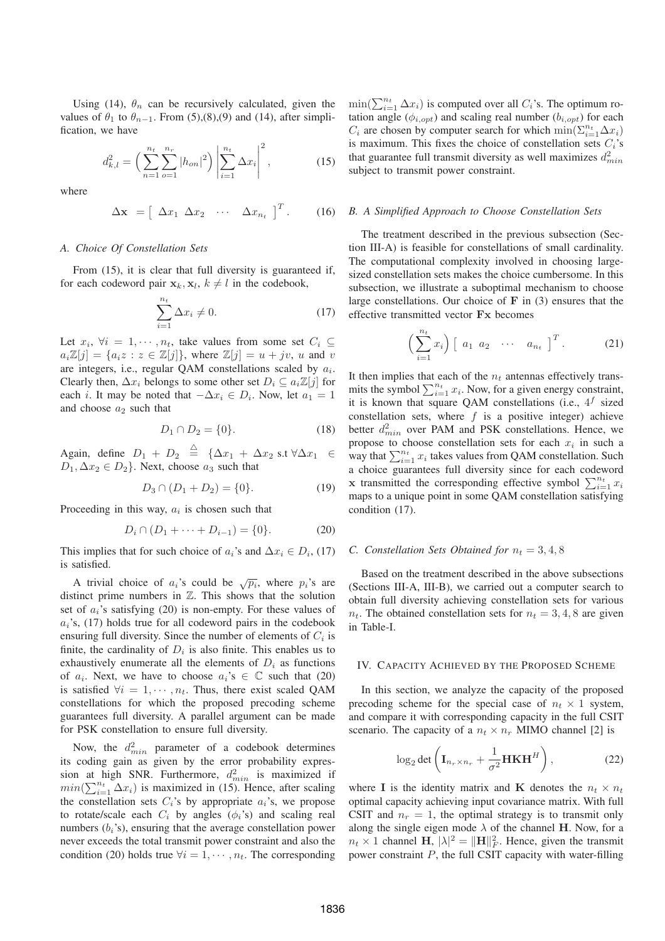Using (14),  $\theta_n$  can be recursively calculated, given the values of  $\theta_1$  to  $\theta_{n-1}$ . From (5),(8),(9) and (14), after simplification, we have

$$
d_{k,l}^2 = \left(\sum_{n=1}^{n_t} \sum_{o=1}^{n_r} |h_{on}|^2\right) \left|\sum_{i=1}^{n_t} \Delta x_i\right|^2, \tag{15}
$$

where

$$
\Delta \mathbf{x} = \left[ \begin{array}{cccc} \Delta x_1 & \Delta x_2 & \cdots & \Delta x_{n_t} \end{array} \right]^T. \tag{16}
$$

## *A. Choice Of Constellation Sets*

From (15), it is clear that full diversity is guaranteed if, for each codeword pair  $\mathbf{x}_k, \mathbf{x}_l, k \neq l$  in the codebook,

$$
\sum_{i=1}^{n_t} \Delta x_i \neq 0. \tag{17}
$$

Let  $x_i$ ,  $\forall i = 1, \dots, n_t$ , take values from some set  $C_i \subseteq$  $a_i\mathbb{Z}[j] = \{a_i z : z \in \mathbb{Z}[j]\},\$  where  $\mathbb{Z}[j] = u + jv, u$  and v are integers, i.e., regular QAM constellations scaled by  $a_i$ . Clearly then,  $\Delta x_i$  belongs to some other set  $D_i \subseteq a_i \mathbb{Z}[j]$  for each *i*. It may be noted that  $-\Delta x_i \in D_i$ . Now, let  $a_1 = 1$ and choose  $a_2$  such that

$$
D_1 \cap D_2 = \{0\}.\tag{18}
$$

Again, define  $D_1 + D_2 \stackrel{\triangle}{=} {\{\Delta x_1 + \Delta x_2 \text{ s.t } \forall \Delta x_1 \in \Delta x_2\}}$  $D_1, \Delta x_2 \in D_2$ . Next, choose  $a_3$  such that

$$
D_3 \cap (D_1 + D_2) = \{0\}.\tag{19}
$$

Proceeding in this way,  $a_i$  is chosen such that

$$
D_i \cap (D_1 + \dots + D_{i-1}) = \{0\}.
$$
 (20)

This implies that for such choice of  $a_i$ 's and  $\Delta x_i \in D_i$ , (17) is satisfied.

A trivial choice of  $a_i$ 's could be  $\sqrt{p_i}$ , where  $p_i$ 's are distinct prime numbers in ℤ. This shows that the solution set of  $a_i$ 's satisfying (20) is non-empty. For these values of  $a_i$ 's, (17) holds true for all codeword pairs in the codebook ensuring full diversity. Since the number of elements of  $C_i$  is finite, the cardinality of  $D_i$  is also finite. This enables us to exhaustively enumerate all the elements of  $D_i$  as functions of  $a_i$ . Next, we have to choose  $a_i$ 's  $\in \mathbb{C}$  such that (20) is satisfied  $\forall i = 1, \dots, n_t$ . Thus, there exist scaled QAM constellations for which the proposed precoding scheme guarantees full diversity. A parallel argument can be made for PSK constellation to ensure full diversity.

Now, the  $d_{min}^2$  parameter of a codebook determines its coding gain as given by the error probability expression at high SNR. Furthermore,  $d_{min}^2$  is maximized if  $min(\sum_{i=1}^{n_t} \Delta x_i)$  is maximized in (15). Hence, after scaling the constellation sets  $C_i$ 's by appropriate  $a_i$ 's, we propose to rotate/scale each  $C_i$  by angles ( $\phi_i$ 's) and scaling real numbers  $(b_i)$ , ensuring that the average constellation power never exceeds the total transmit power constraint and also the condition (20) holds true  $\forall i = 1, \cdots, n_t$ . The corresponding

 $min(\sum_{i=1}^{n_t} \Delta x_i)$  is computed over all  $C_i$ 's. The optimum rotation angle ( $\phi_{i,opt}$ ) and scaling real number ( $b_{i,opt}$ ) for each  $C_i$  are chosen by computer search for which  $\min(\sum_{i=1}^{n_t} \Delta x_i)$ is maximum. This fixes the choice of constellation sets  $C_i$ 's that guarantee full transmit diversity as well maximizes  $d_{min}^2$ subject to transmit power constraint.

#### *B. A Simplified Approach to Choose Constellation Sets*

The treatment described in the previous subsection (Section III-A) is feasible for constellations of small cardinality. The computational complexity involved in choosing largesized constellation sets makes the choice cumbersome. In this subsection, we illustrate a suboptimal mechanism to choose large constellations. Our choice of **F** in (3) ensures that the effective transmitted vector **Fx** becomes

$$
\left(\sum_{i=1}^{n_t} x_i\right) \left[\begin{array}{cccc} a_1 & a_2 & \cdots & a_{n_t} \end{array}\right]^T.
$$
 (21)

It then implies that each of the  $n_t$  antennas effectively transmits the symbol  $\sum_{i=1}^{n_t} x_i$ . Now, for a given energy constraint, it is known that square QAM constellations (i.e.,  $4^f$  sized constellation sets, where  $f$  is a positive integer) achieve better  $d_{min}^2$  over PAM and PSK constellations. Hence, we propose to choose constellation sets for each  $x_i$  in such a way that  $\sum_{i=1}^{n_t} x_i$  takes values from QAM constellation. Such a choice guarantees full diversity since for each codeword **x** transmitted the corresponding effective symbol  $\sum_{i=1}^{n_t} x_i$ maps to a unique point in some QAM constellation satisfying condition (17).

### *C. Constellation Sets Obtained for*  $n_t = 3, 4, 8$

Based on the treatment described in the above subsections (Sections III-A, III-B), we carried out a computer search to obtain full diversity achieving constellation sets for various  $n_t$ . The obtained constellation sets for  $n_t = 3, 4, 8$  are given in Table-I.

### IV. CAPACITY ACHIEVED BY THE PROPOSED SCHEME

In this section, we analyze the capacity of the proposed precoding scheme for the special case of  $n_t \times 1$  system, and compare it with corresponding capacity in the full CSIT scenario. The capacity of a  $n_t \times n_r$  MIMO channel [2] is

$$
\log_2 \det \left( \mathbf{I}_{n_r \times n_r} + \frac{1}{\sigma^2} \mathbf{HKH}^H \right), \tag{22}
$$

where **I** is the identity matrix and **K** denotes the  $n_t \times n_t$ optimal capacity achieving input covariance matrix. With full CSIT and  $n_r = 1$ , the optimal strategy is to transmit only along the single eigen mode  $\lambda$  of the channel **H**. Now, for a  $n_t \times 1$  channel **H**,  $|\lambda|^2 = ||\mathbf{H}||_F^2$ . Hence, given the transmit power constraint  $P$ , the full CSIT capacity with water-filling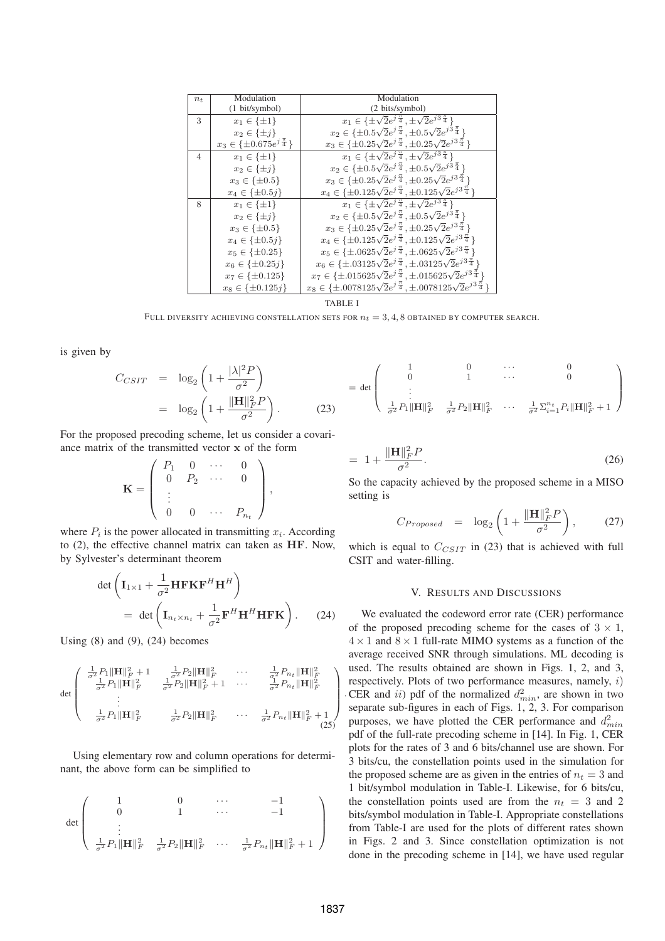| $n_{t}$        | Modulation                                  | Modulation                                                                                  |
|----------------|---------------------------------------------|---------------------------------------------------------------------------------------------|
|                | (1 bit/symbol)                              | (2 bits/symbol)                                                                             |
| 3              | $x_1 \in {\pm 1}$                           | $x_1 \in \{\pm \sqrt{2}e^{j\frac{\pi}{4}}, \pm \sqrt{2}e^{j3\frac{\pi}{4}}\}\$              |
|                | $x_2 \in \{\pm j\}$                         | $x_2 \in \{\pm 0.5\sqrt{2}e^{j\frac{\pi}{4}}, \pm 0.5\sqrt{2}e^{j3\frac{\pi}{4}}\}$         |
|                | $x_3 \in \{\pm 0.675 e^{j\frac{\pi}{4}}\}\$ | $x_3 \in \{\pm 0.25\sqrt{2}e^{j\frac{\pi}{4}}, \pm 0.25\sqrt{2}e^{j3\frac{\pi}{4}}\}$       |
| $\overline{4}$ | $x_1 \in {\{\pm 1\}}$                       | $x_1 \in \{\pm\sqrt{2}e^{j\frac{\pi}{4}}, \pm\sqrt{2}e^{j3\frac{\pi}{4}}\}$                 |
|                | $x_2 \in \{\pm j\}$                         | $x_2 \in \{\pm 0.5\sqrt{2}e^{j\frac{\pi}{4}}, \pm 0.5\sqrt{2}e^{j3\frac{\pi}{4}}\}$         |
|                | $x_3 \in {\pm 0.5}$                         | $x_3 \in \{\pm 0.25\sqrt{2}e^{j\frac{\pi}{4}}, \pm 0.25\sqrt{2}e^{j3\frac{\pi}{4}}\}$       |
|                | $x_4 \in \{\pm 0.5j\}$                      | $x_4 \in \{\pm 0.125\sqrt{2}e^{j\frac{\pi}{4}}, \pm 0.125\sqrt{2}e^{j3\frac{\pi}{4}}\}$     |
| 8              | $x_1 \in \{\pm 1\}$                         | $x_1 \in \{\pm \sqrt{2}e^{j\frac{\pi}{4}}, \pm \sqrt{2}e^{j3\frac{\pi}{4}}\}\$              |
|                | $x_2 \in \{\pm j\}$                         | $x_2 \in \{\pm 0.5\sqrt{2}e^{j\frac{\pi}{4}}, \pm 0.5\sqrt{2}e^{j3\frac{\pi}{4}}\}\$        |
|                | $x_3 \in {\pm 0.5}$                         | $x_3 \in \{\pm 0.25\sqrt{2}e^{j\frac{\pi}{4}}, \pm 0.25\sqrt{2}e^{j3\frac{\pi}{4}}\}$       |
|                | $x_4 \in \{\pm 0.5j\}$                      | $x_4 \in {\pm 0.125 \sqrt{2}e^{j\frac{\pi}{4}}}$ , $\pm 0.125 \sqrt{2}e^{j3\frac{\pi}{4}}$  |
|                | $x_5 \in \{\pm 0.25\}$                      | $x_5 \in \{\pm .0625\sqrt{2}e^{j\frac{\pi}{4}}, \pm .0625\sqrt{2}e^{j3\frac{\pi}{4}}\}$     |
|                | $x_6 \in \{\pm 0.25j\}$                     | $x_6 \in \{\pm .03125\sqrt{2}e^{j\frac{\pi}{4}}, \pm .03125\sqrt{2}e^{j3\frac{\pi}{4}}\}$   |
|                | $x_7 \in \{\pm 0.125\}$                     | $x_7 \in \{\pm.015625\sqrt{2}e^{j\frac{\pi}{4}}, \pm.015625\sqrt{2}e^{j3\frac{\pi}{4}}\}$   |
|                | $x_8 \in \{\pm 0.125j\}$                    | $x_8 \in \{\pm.0078125\sqrt{2}e^{j\frac{\pi}{4}}, \pm.0078125\sqrt{2}e^{j3\frac{\pi}{4}}\}$ |

TABLE I FULL DIVERSITY ACHIEVING CONSTELLATION SETS FOR  $n_t = 3, 4, 8$  OBTAINED BY COMPUTER SEARCH.

is given by

$$
C_{CSIT} = \log_2\left(1 + \frac{|\lambda|^2 P}{\sigma^2}\right) = \det\begin{pmatrix} 1 & 0 & \cdots & 0 \\ 0 & 1 & \cdots & 0 \\ \vdots & & & \\ \frac{1}{\sigma^2} P_1 ||\mathbf{H}||_F^2 & \frac{1}{\sigma^2} P_2 ||\mathbf{H}||_F^2 & \cdots & \frac{1}{\sigma^2} \Sigma_{i=1}^{n_i} P_i ||\mathbf{H}||^2 \end{pmatrix}
$$

For the proposed precoding scheme, let us consider a covariance matrix of the transmitted vector **x** of the form

$$
\mathbf{K} = \left( \begin{array}{cccc} P_1 & 0 & \cdots & 0 \\ 0 & P_2 & \cdots & 0 \\ \vdots & & & \\ 0 & 0 & \cdots & P_{n_t} \end{array} \right),
$$

where  $P_i$  is the power allocated in transmitting  $x_i$ . According to (2), the effective channel matrix can taken as **HF**. Now, by Sylvester's determinant theorem

$$
\det \left( \mathbf{I}_{1\times 1} + \frac{1}{\sigma^2} \mathbf{H} \mathbf{F} \mathbf{K} \mathbf{F}^H \mathbf{H}^H \right) \n= \det \left( \mathbf{I}_{n_t \times n_t} + \frac{1}{\sigma^2} \mathbf{F}^H \mathbf{H}^H \mathbf{H} \mathbf{F} \mathbf{K} \right).
$$
\n(24)

Using  $(8)$  and  $(9)$ ,  $(24)$  becomes

$$
\det \begin{pmatrix} \frac{1}{\sigma^2} P_1 \|\mathbf{H}\|_F^2 + 1 & \frac{1}{\sigma^2} P_2 \|\mathbf{H}\|_F^2 & \cdots & \frac{1}{\sigma^2} P_{n_t} \|\mathbf{H}\|_F^2 \\ \frac{1}{\sigma^2} P_1 \|\mathbf{H}\|_F^2 & \frac{1}{\sigma^2} P_2 \|\mathbf{H}\|_F^2 + 1 & \cdots & \frac{1}{\sigma^2} P_{n_t} \|\mathbf{H}\|_F^2 \\ \vdots & \vdots & \vdots & \vdots \\ \frac{1}{\sigma^2} P_1 \|\mathbf{H}\|_F^2 & \frac{1}{\sigma^2} P_2 \|\mathbf{H}\|_F^2 & \cdots & \frac{1}{\sigma^2} P_{n_t} \|\mathbf{H}\|_F^2 + 1 \end{pmatrix}.
$$

Using elementary row and column operations for determinant, the above form can be simplified to

$$
\det \left(\begin{array}{cccc} 1 & 0 & \cdots & -1 \\ 0 & 1 & \cdots & -1 \\ \vdots & & & \\ \frac{1}{\sigma^2} P_1 \| \mathbf{H} \|_F^2 & \frac{1}{\sigma^2} P_2 \| \mathbf{H} \|_F^2 & \cdots & \frac{1}{\sigma^2} P_{n_t} \| \mathbf{H} \|_F^2 + 1 \end{array}\right)
$$

$$
= \det \begin{pmatrix} 1 & 0 & \cdots & 0 \\ 0 & 1 & \cdots & 0 \\ \vdots & \ddots & \vdots \\ \frac{1}{\sigma^2} P_1 \|\mathbf{H}\|_F^2 & \frac{1}{\sigma^2} P_2 \|\mathbf{H}\|_F^2 & \cdots & \frac{1}{\sigma^2} \Sigma_{i=1}^{n_t} P_i \|\mathbf{H}\|_F^2 + 1 \end{pmatrix}
$$

$$
= 1 + \frac{\|\mathbf{H}\|_{F}^{2} P}{\sigma^{2}}.
$$
 (26)

So the capacity achieved by the proposed scheme in a MISO setting is

$$
C_{Proposed} = \log_2\left(1 + \frac{\|\mathbf{H}\|_F^2 P}{\sigma^2}\right),\qquad(27)
$$

which is equal to  $C_{CSIT}$  in (23) that is achieved with full CSIT and water-filling.

# V. RESULTS AND DISCUSSIONS

We evaluated the codeword error rate (CER) performance of the proposed precoding scheme for the cases of  $3 \times 1$ ,  $4 \times 1$  and  $8 \times 1$  full-rate MIMO systems as a function of the average received SNR through simulations. ML decoding is used. The results obtained are shown in Figs. 1, 2, and 3, respectively. Plots of two performance measures, namely,  $i$ ) CER and *ii*) pdf of the normalized  $d_{min}^2$ , are shown in two separate sub-figures in each of Figs. 1, 2, 3. For comparison purposes, we have plotted the CER performance and  $d_{min}^2$ pdf of the full-rate precoding scheme in [14]. In Fig. 1, CER plots for the rates of 3 and 6 bits/channel use are shown. For 3 bits/cu, the constellation points used in the simulation for the proposed scheme are as given in the entries of  $n_t = 3$  and 1 bit/symbol modulation in Table-I. Likewise, for 6 bits/cu, the constellation points used are from the  $n_t = 3$  and 2 bits/symbol modulation in Table-I. Appropriate constellations from Table-I are used for the plots of different rates shown in Figs. 2 and 3. Since constellation optimization is not done in the precoding scheme in [14], we have used regular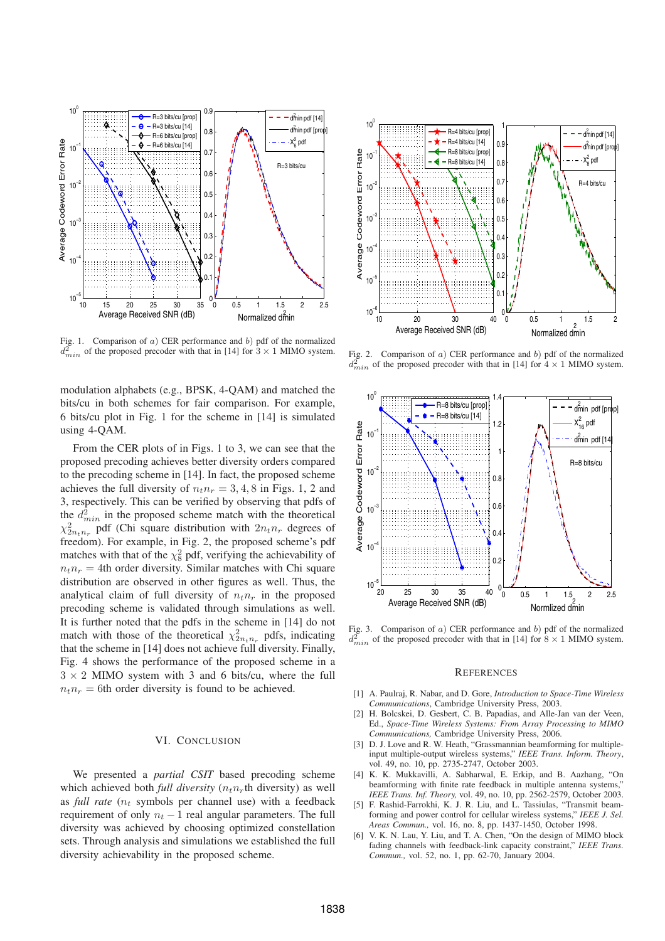

Fig. 1. Comparison of  $a$ ) CER performance and  $b$ ) pdf of the normalized  $d_{min}^2$  of the proposed precoder with that in [14] for  $3 \times 1$  MIMO system.

modulation alphabets (e.g., BPSK, 4-QAM) and matched the bits/cu in both schemes for fair comparison. For example, 6 bits/cu plot in Fig. 1 for the scheme in [14] is simulated using 4-QAM.

From the CER plots of in Figs. 1 to 3, we can see that the proposed precoding achieves better diversity orders compared to the precoding scheme in [14]. In fact, the proposed scheme achieves the full diversity of  $n_t n_r = 3, 4, 8$  in Figs. 1, 2 and 3, respectively. This can be verified by observing that pdfs of the  $d_{min}^2$  in the proposed scheme match with the theoretical  $\chi^2_{2n_t n_r}$  pdf (Chi square distribution with  $2n_t n_r$  degrees of freedom). For example, in Fig. 2, the proposed scheme's pdf matches with that of the  $\chi^2$  pdf, verifying the achievability of  $n_t n_r = 4$ th order diversity. Similar matches with Chi square distribution are observed in other figures as well. Thus, the analytical claim of full diversity of  $n_t n_r$  in the proposed precoding scheme is validated through simulations as well. It is further noted that the pdfs in the scheme in [14] do not match with those of the theoretical  $\chi^2_{2n_t n_r}$  pdfs, indicating that the scheme in [14] does not achieve full diversity. Finally, Fig. 4 shows the performance of the proposed scheme in a  $3 \times 2$  MIMO system with 3 and 6 bits/cu, where the full  $n_t n_r = 6$ th order diversity is found to be achieved.

## VI. CONCLUSION

We presented a *partial CSIT* based precoding scheme which achieved both *full diversity*  $(n_t n_r$ th diversity) as well as *full rate*  $(n_t)$  symbols per channel use) with a feedback requirement of only  $n_t - 1$  real angular parameters. The full diversity was achieved by choosing optimized constellation sets. Through analysis and simulations we established the full diversity achievability in the proposed scheme.



Fig. 2. Comparison of  $a$ ) CER performance and  $b$ ) pdf of the normalized  $d_{min}^2$  of the proposed precoder with that in [14] for  $4 \times 1$  MIMO system.



Fig. 3. Comparison of  $a$ ) CER performance and  $b$ ) pdf of the normalized  $d_{min}^{\mathfrak{D}}$  of the proposed precoder with that in [14] for  $8 \times 1$  MIMO system.

#### **REFERENCES**

- [1] A. Paulraj, R. Nabar, and D. Gore, *Introduction to Space-Time Wireless Communications*, Cambridge University Press, 2003.
- [2] H. Bolcskei, D. Gesbert, C. B. Papadias, and Alle-Jan van der Veen, Ed., *Space-Time Wireless Systems: From Array Processing to MIMO Communications,* Cambridge University Press, 2006.
- [3] D. J. Love and R. W. Heath, "Grassmannian beamforming for multipleinput multiple-output wireless systems," *IEEE Trans. Inform. Theory*, vol. 49, no. 10, pp. 2735-2747, October 2003.
- [4] K. K. Mukkavilli, A. Sabharwal, E. Erkip, and B. Aazhang, "On beamforming with finite rate feedback in multiple antenna systems," *IEEE Trans. Inf. Theory,* vol. 49, no. 10, pp. 2562-2579, October 2003.
- [5] F. Rashid-Farrokhi, K. J. R. Liu, and L. Tassiulas, "Transmit beamforming and power control for cellular wireless systems," *IEEE J. Sel. Areas Commun.,* vol. 16, no. 8, pp. 1437-1450, October 1998.
- [6] V. K. N. Lau, Y. Liu, and T. A. Chen, "On the design of MIMO block fading channels with feedback-link capacity constraint," *IEEE Trans. Commun.,* vol. 52, no. 1, pp. 62-70, January 2004.